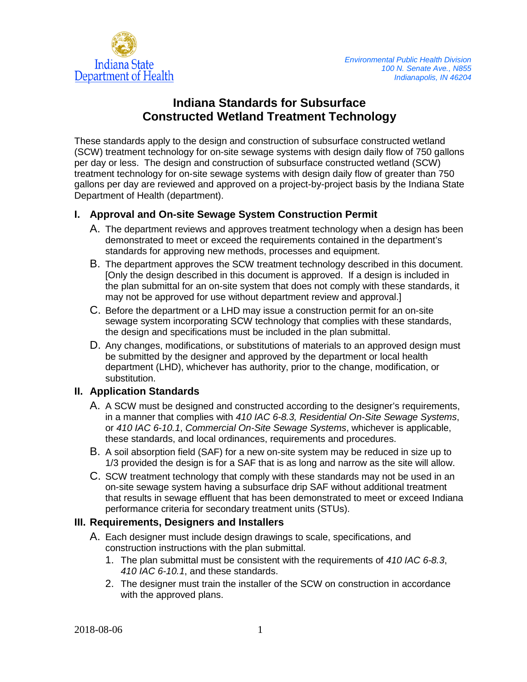

# **Indiana Standards for Subsurface Constructed Wetland Treatment Technology**

These standards apply to the design and construction of subsurface constructed wetland (SCW) treatment technology for on-site sewage systems with design daily flow of 750 gallons per day or less. The design and construction of subsurface constructed wetland (SCW) treatment technology for on-site sewage systems with design daily flow of greater than 750 gallons per day are reviewed and approved on a project-by-project basis by the Indiana State Department of Health (department).

### **I. Approval and On-site Sewage System Construction Permit**

- A. The department reviews and approves treatment technology when a design has been demonstrated to meet or exceed the requirements contained in the department's standards for approving new methods, processes and equipment.
- B. The department approves the SCW treatment technology described in this document. [Only the design described in this document is approved. If a design is included in the plan submittal for an on-site system that does not comply with these standards, it may not be approved for use without department review and approval.]
- C. Before the department or a LHD may issue a construction permit for an on-site sewage system incorporating SCW technology that complies with these standards, the design and specifications must be included in the plan submittal.
- D. Any changes, modifications, or substitutions of materials to an approved design must be submitted by the designer and approved by the department or local health department (LHD), whichever has authority, prior to the change, modification, or substitution.

## **II. Application Standards**

- A. A SCW must be designed and constructed according to the designer's requirements, in a manner that complies with *410 IAC 6-8.3, Residential On-Site Sewage Systems*, or *410 IAC 6-10.1*, *Commercial On-Site Sewage Systems*, whichever is applicable, these standards, and local ordinances, requirements and procedures.
- B. A soil absorption field (SAF) for a new on-site system may be reduced in size up to 1/3 provided the design is for a SAF that is as long and narrow as the site will allow.
- C. SCW treatment technology that comply with these standards may not be used in an on-site sewage system having a subsurface drip SAF without additional treatment that results in sewage effluent that has been demonstrated to meet or exceed Indiana performance criteria for secondary treatment units (STUs).

#### **III. Requirements, Designers and Installers**

- A. Each designer must include design drawings to scale, specifications, and construction instructions with the plan submittal.
	- 1. The plan submittal must be consistent with the requirements of *410 IAC 6-8.3*, *410 IAC 6-10.1*, and these standards.
	- 2. The designer must train the installer of the SCW on construction in accordance with the approved plans.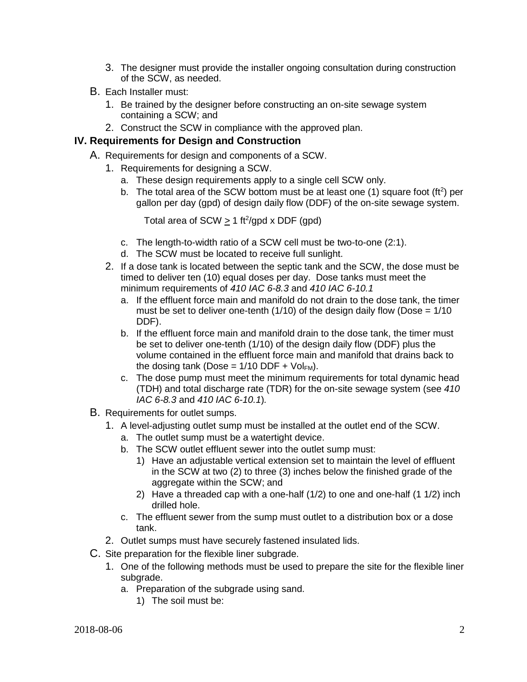- 3. The designer must provide the installer ongoing consultation during construction of the SCW, as needed.
- B. Each Installer must:
	- 1. Be trained by the designer before constructing an on-site sewage system containing a SCW; and
	- 2. Construct the SCW in compliance with the approved plan.

#### **IV. Requirements for Design and Construction**

- A. Requirements for design and components of a SCW.
	- 1. Requirements for designing a SCW.
		- a. These design requirements apply to a single cell SCW only.
		- b. The total area of the SCW bottom must be at least one  $(1)$  square foot  $(ft^2)$  per gallon per day (gpd) of design daily flow (DDF) of the on-site sewage system.

Total area of SCW  $\geq$  1 ft<sup>2</sup>/gpd x DDF (gpd)

- c. The length-to-width ratio of a SCW cell must be two-to-one (2:1).
- d. The SCW must be located to receive full sunlight.
- 2. If a dose tank is located between the septic tank and the SCW, the dose must be timed to deliver ten (10) equal doses per day. Dose tanks must meet the minimum requirements of *410 IAC 6-8.3* and *410 IAC 6-10.1*
	- a. If the effluent force main and manifold do not drain to the dose tank, the timer must be set to deliver one-tenth (1/10) of the design daily flow (Dose  $= 1/10$ DDF).
	- b. If the effluent force main and manifold drain to the dose tank, the timer must be set to deliver one-tenth (1/10) of the design daily flow (DDF) plus the volume contained in the effluent force main and manifold that drains back to the dosing tank (Dose =  $1/10$  DDF +  $Vol_{FM}$ ).
	- c. The dose pump must meet the minimum requirements for total dynamic head (TDH) and total discharge rate (TDR) for the on-site sewage system (see *410 IAC 6-8.3* and *410 IAC 6-10.1*)*.*
- B. Requirements for outlet sumps.
	- 1. A level-adjusting outlet sump must be installed at the outlet end of the SCW.
		- a. The outlet sump must be a watertight device.
		- b. The SCW outlet effluent sewer into the outlet sump must:
			- 1) Have an adjustable vertical extension set to maintain the level of effluent in the SCW at two (2) to three (3) inches below the finished grade of the aggregate within the SCW; and
			- 2) Have a threaded cap with a one-half (1/2) to one and one-half (1 1/2) inch drilled hole.
		- c. The effluent sewer from the sump must outlet to a distribution box or a dose tank.
	- 2. Outlet sumps must have securely fastened insulated lids.
- C. Site preparation for the flexible liner subgrade.
	- 1. One of the following methods must be used to prepare the site for the flexible liner subgrade.
		- a. Preparation of the subgrade using sand.
			- 1) The soil must be: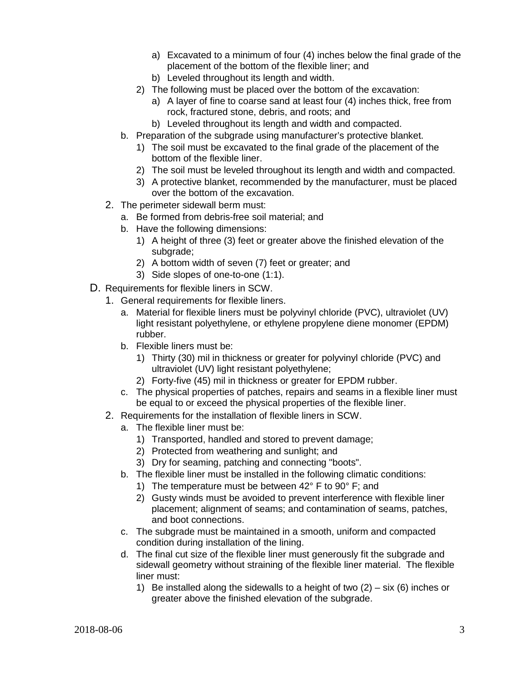- a) Excavated to a minimum of four (4) inches below the final grade of the placement of the bottom of the flexible liner; and
- b) Leveled throughout its length and width.
- 2) The following must be placed over the bottom of the excavation:
	- a) A layer of fine to coarse sand at least four (4) inches thick, free from rock, fractured stone, debris, and roots; and
	- b) Leveled throughout its length and width and compacted.
- b. Preparation of the subgrade using manufacturer's protective blanket.
	- 1) The soil must be excavated to the final grade of the placement of the bottom of the flexible liner.
	- 2) The soil must be leveled throughout its length and width and compacted.
	- 3) A protective blanket, recommended by the manufacturer, must be placed over the bottom of the excavation.
- 2. The perimeter sidewall berm must:
	- a. Be formed from debris-free soil material; and
	- b. Have the following dimensions:
		- 1) A height of three (3) feet or greater above the finished elevation of the subgrade;
		- 2) A bottom width of seven (7) feet or greater; and
		- 3) Side slopes of one-to-one (1:1).
- D. Requirements for flexible liners in SCW.
	- 1. General requirements for flexible liners.
		- a. Material for flexible liners must be polyvinyl chloride (PVC), ultraviolet (UV) light resistant polyethylene, or ethylene propylene diene monomer (EPDM) rubber.
		- b. Flexible liners must be:
			- 1) Thirty (30) mil in thickness or greater for polyvinyl chloride (PVC) and ultraviolet (UV) light resistant polyethylene;
			- 2) Forty-five (45) mil in thickness or greater for EPDM rubber.
		- c. The physical properties of patches, repairs and seams in a flexible liner must be equal to or exceed the physical properties of the flexible liner.
	- 2. Requirements for the installation of flexible liners in SCW.
		- a. The flexible liner must be:
			- 1) Transported, handled and stored to prevent damage;
			- 2) Protected from weathering and sunlight; and
			- 3) Dry for seaming, patching and connecting "boots".
		- b. The flexible liner must be installed in the following climatic conditions:
			- 1) The temperature must be between 42° F to 90° F; and
			- 2) Gusty winds must be avoided to prevent interference with flexible liner placement; alignment of seams; and contamination of seams, patches, and boot connections.
		- c. The subgrade must be maintained in a smooth, uniform and compacted condition during installation of the lining.
		- d. The final cut size of the flexible liner must generously fit the subgrade and sidewall geometry without straining of the flexible liner material. The flexible liner must:
			- 1) Be installed along the sidewalls to a height of two  $(2) \text{six}$  (6) inches or greater above the finished elevation of the subgrade.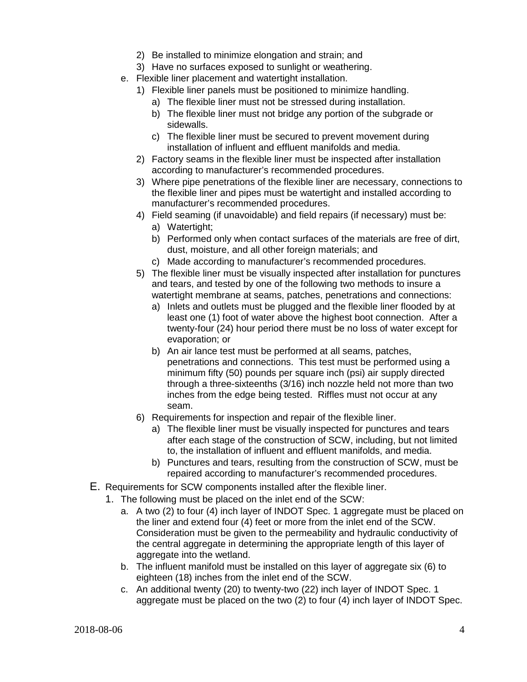- 2) Be installed to minimize elongation and strain; and
- 3) Have no surfaces exposed to sunlight or weathering.
- e. Flexible liner placement and watertight installation.
	- 1) Flexible liner panels must be positioned to minimize handling.
		- a) The flexible liner must not be stressed during installation.
		- b) The flexible liner must not bridge any portion of the subgrade or sidewalls.
		- c) The flexible liner must be secured to prevent movement during installation of influent and effluent manifolds and media.
	- 2) Factory seams in the flexible liner must be inspected after installation according to manufacturer's recommended procedures.
	- 3) Where pipe penetrations of the flexible liner are necessary, connections to the flexible liner and pipes must be watertight and installed according to manufacturer's recommended procedures.
	- 4) Field seaming (if unavoidable) and field repairs (if necessary) must be:
		- a) Watertight;
		- b) Performed only when contact surfaces of the materials are free of dirt, dust, moisture, and all other foreign materials; and
		- c) Made according to manufacturer's recommended procedures.
	- 5) The flexible liner must be visually inspected after installation for punctures and tears, and tested by one of the following two methods to insure a watertight membrane at seams, patches, penetrations and connections:
		- a) Inlets and outlets must be plugged and the flexible liner flooded by at least one (1) foot of water above the highest boot connection. After a twenty-four (24) hour period there must be no loss of water except for evaporation; or
		- b) An air lance test must be performed at all seams, patches, penetrations and connections. This test must be performed using a minimum fifty (50) pounds per square inch (psi) air supply directed through a three-sixteenths (3/16) inch nozzle held not more than two inches from the edge being tested. Riffles must not occur at any seam.
	- 6) Requirements for inspection and repair of the flexible liner.
		- a) The flexible liner must be visually inspected for punctures and tears after each stage of the construction of SCW, including, but not limited to, the installation of influent and effluent manifolds, and media.
		- b) Punctures and tears, resulting from the construction of SCW, must be repaired according to manufacturer's recommended procedures.
- E. Requirements for SCW components installed after the flexible liner.
	- 1. The following must be placed on the inlet end of the SCW:
		- a. A two (2) to four (4) inch layer of INDOT Spec. 1 aggregate must be placed on the liner and extend four (4) feet or more from the inlet end of the SCW. Consideration must be given to the permeability and hydraulic conductivity of the central aggregate in determining the appropriate length of this layer of aggregate into the wetland.
		- b. The influent manifold must be installed on this layer of aggregate six (6) to eighteen (18) inches from the inlet end of the SCW.
		- c. An additional twenty (20) to twenty-two (22) inch layer of INDOT Spec. 1 aggregate must be placed on the two (2) to four (4) inch layer of INDOT Spec.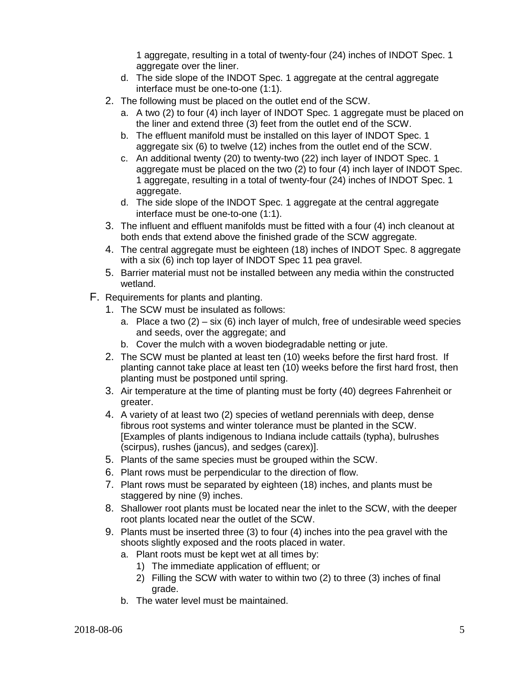1 aggregate, resulting in a total of twenty-four (24) inches of INDOT Spec. 1 aggregate over the liner.

- d. The side slope of the INDOT Spec. 1 aggregate at the central aggregate interface must be one-to-one (1:1).
- 2. The following must be placed on the outlet end of the SCW.
	- a. A two (2) to four (4) inch layer of INDOT Spec. 1 aggregate must be placed on the liner and extend three (3) feet from the outlet end of the SCW.
	- b. The effluent manifold must be installed on this layer of INDOT Spec. 1 aggregate six (6) to twelve (12) inches from the outlet end of the SCW.
	- c. An additional twenty (20) to twenty-two (22) inch layer of INDOT Spec. 1 aggregate must be placed on the two (2) to four (4) inch layer of INDOT Spec. 1 aggregate, resulting in a total of twenty-four (24) inches of INDOT Spec. 1 aggregate.
	- d. The side slope of the INDOT Spec. 1 aggregate at the central aggregate interface must be one-to-one (1:1).
- 3. The influent and effluent manifolds must be fitted with a four (4) inch cleanout at both ends that extend above the finished grade of the SCW aggregate.
- 4. The central aggregate must be eighteen (18) inches of INDOT Spec. 8 aggregate with a six (6) inch top layer of INDOT Spec 11 pea gravel.
- 5. Barrier material must not be installed between any media within the constructed wetland.
- F. Requirements for plants and planting.
	- 1. The SCW must be insulated as follows:
		- a. Place a two  $(2) \text{six}$  (6) inch layer of mulch, free of undesirable weed species and seeds, over the aggregate; and
		- b. Cover the mulch with a woven biodegradable netting or jute.
	- 2. The SCW must be planted at least ten (10) weeks before the first hard frost. If planting cannot take place at least ten (10) weeks before the first hard frost, then planting must be postponed until spring.
	- 3. Air temperature at the time of planting must be forty (40) degrees Fahrenheit or greater.
	- 4. A variety of at least two (2) species of wetland perennials with deep, dense fibrous root systems and winter tolerance must be planted in the SCW. [Examples of plants indigenous to Indiana include cattails (typha), bulrushes (scirpus), rushes (jancus), and sedges (carex)].
	- 5. Plants of the same species must be grouped within the SCW.
	- 6. Plant rows must be perpendicular to the direction of flow.
	- 7. Plant rows must be separated by eighteen (18) inches, and plants must be staggered by nine (9) inches.
	- 8. Shallower root plants must be located near the inlet to the SCW, with the deeper root plants located near the outlet of the SCW.
	- 9. Plants must be inserted three (3) to four (4) inches into the pea gravel with the shoots slightly exposed and the roots placed in water.
		- a. Plant roots must be kept wet at all times by:
			- 1) The immediate application of effluent; or
			- 2) Filling the SCW with water to within two (2) to three (3) inches of final grade.
		- b. The water level must be maintained.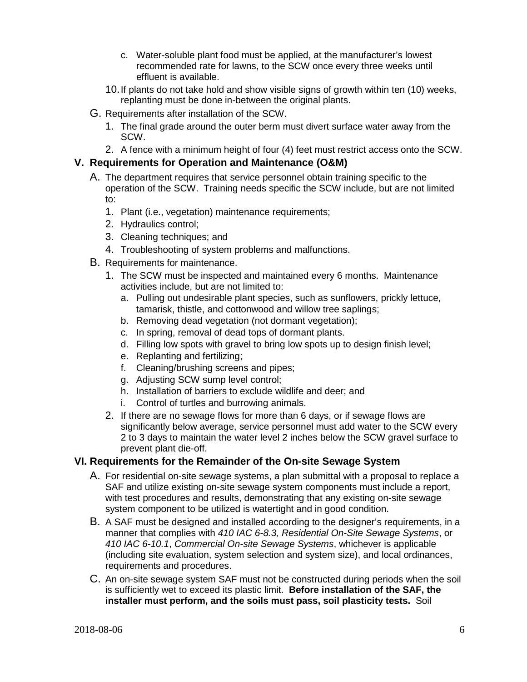- c. Water-soluble plant food must be applied, at the manufacturer's lowest recommended rate for lawns, to the SCW once every three weeks until effluent is available.
- 10.If plants do not take hold and show visible signs of growth within ten (10) weeks, replanting must be done in-between the original plants.
- G. Requirements after installation of the SCW.
	- 1. The final grade around the outer berm must divert surface water away from the SCW.
	- 2. A fence with a minimum height of four (4) feet must restrict access onto the SCW.

#### **V. Requirements for Operation and Maintenance (O&M)**

- A. The department requires that service personnel obtain training specific to the operation of the SCW. Training needs specific the SCW include, but are not limited to:
	- 1. Plant (i.e., vegetation) maintenance requirements;
	- 2. Hydraulics control;
	- 3. Cleaning techniques; and
	- 4. Troubleshooting of system problems and malfunctions.
- B. Requirements for maintenance.
	- 1. The SCW must be inspected and maintained every 6 months. Maintenance activities include, but are not limited to:
		- a. Pulling out undesirable plant species, such as sunflowers, prickly lettuce, tamarisk, thistle, and cottonwood and willow tree saplings;
		- b. Removing dead vegetation (not dormant vegetation);
		- c. In spring, removal of dead tops of dormant plants.
		- d. Filling low spots with gravel to bring low spots up to design finish level;
		- e. Replanting and fertilizing;
		- f. Cleaning/brushing screens and pipes;
		- g. Adjusting SCW sump level control;
		- h. Installation of barriers to exclude wildlife and deer; and
		- i. Control of turtles and burrowing animals.
	- 2. If there are no sewage flows for more than 6 days, or if sewage flows are significantly below average, service personnel must add water to the SCW every 2 to 3 days to maintain the water level 2 inches below the SCW gravel surface to prevent plant die-off.

#### **VI. Requirements for the Remainder of the On-site Sewage System**

- A. For residential on-site sewage systems, a plan submittal with a proposal to replace a SAF and utilize existing on-site sewage system components must include a report, with test procedures and results, demonstrating that any existing on-site sewage system component to be utilized is watertight and in good condition.
- B. A SAF must be designed and installed according to the designer's requirements, in a manner that complies with *410 IAC 6-8.3, Residential On-Site Sewage Systems*, or *410 IAC 6-10.1*, *Commercial On-site Sewage Systems*, whichever is applicable (including site evaluation, system selection and system size), and local ordinances, requirements and procedures.
- C. An on-site sewage system SAF must not be constructed during periods when the soil is sufficiently wet to exceed its plastic limit. **Before installation of the SAF, the installer must perform, and the soils must pass, soil plasticity tests.** Soil